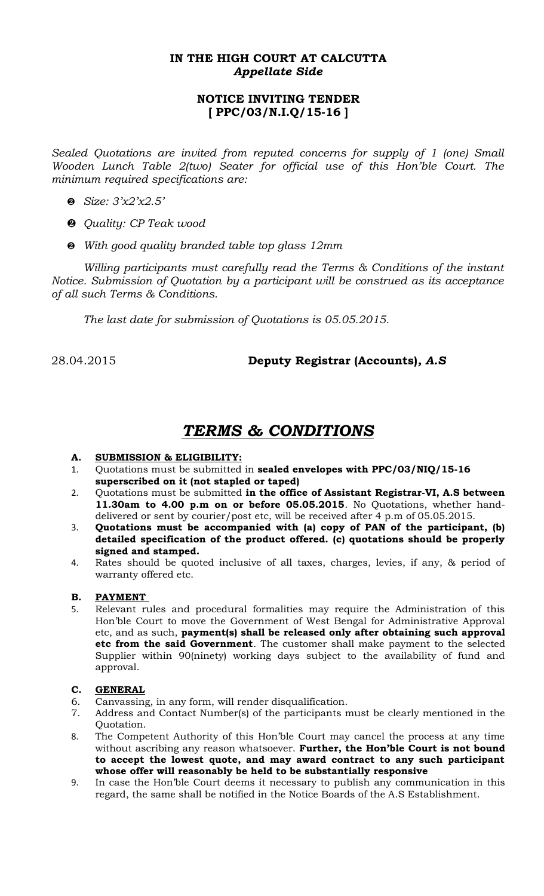### **IN THE HIGH COURT AT CALCUTTA** *Appellate Side*

## **NOTICE INVITING TENDER [ PPC/03/N.I.Q/15-16 ]**

*Sealed Quotations are invited from reputed concerns for supply of 1 (one) Small Wooden Lunch Table 2(two) Seater for official use of this Hon'ble Court. The minimum required specifications are:* 

- *Size: 3'x2'x2.5'*
- *Quality: CP Teak wood*
- *With good quality branded table top glass 12mm*

*Willing participants must carefully read the Terms & Conditions of the instant Notice. Submission of Quotation by a participant will be construed as its acceptance of all such Terms & Conditions.*

*The last date for submission of Quotations is 05.05.2015.* 

28.04.2015 **Deputy Registrar (Accounts)***, A.S*

# *TERMS & CONDITIONS*

#### **A. SUBMISSION & ELIGIBILITY:**

- 1. Quotations must be submitted in **sealed envelopes with PPC/03/NIQ/15-16 superscribed on it (not stapled or taped)**
- 2. Quotations must be submitted **in the office of Assistant Registrar-VI, A.S between 11.30am to 4.00 p.m on or before 05.05.2015**. No Quotations, whether handdelivered or sent by courier/post etc, will be received after 4 p.m of 05.05.2015.
- 3. **Quotations must be accompanied with (a) copy of PAN of the participant, (b) detailed specification of the product offered. (c) quotations should be properly signed and stamped.**
- 4. Rates should be quoted inclusive of all taxes, charges, levies, if any, & period of warranty offered etc.

#### **B. PAYMENT**

5. Relevant rules and procedural formalities may require the Administration of this Hon'ble Court to move the Government of West Bengal for Administrative Approval etc, and as such, **payment(s) shall be released only after obtaining such approval etc from the said Government**. The customer shall make payment to the selected Supplier within 90(ninety) working days subject to the availability of fund and approval.

#### **C. GENERAL**

- 6. Canvassing, in any form, will render disqualification.
- 7. Address and Contact Number(s) of the participants must be clearly mentioned in the Quotation.
- 8. The Competent Authority of this Hon'ble Court may cancel the process at any time without ascribing any reason whatsoever. **Further, the Hon'ble Court is not bound to accept the lowest quote, and may award contract to any such participant whose offer will reasonably be held to be substantially responsive**
- 9. In case the Hon'ble Court deems it necessary to publish any communication in this regard, the same shall be notified in the Notice Boards of the A.S Establishment.